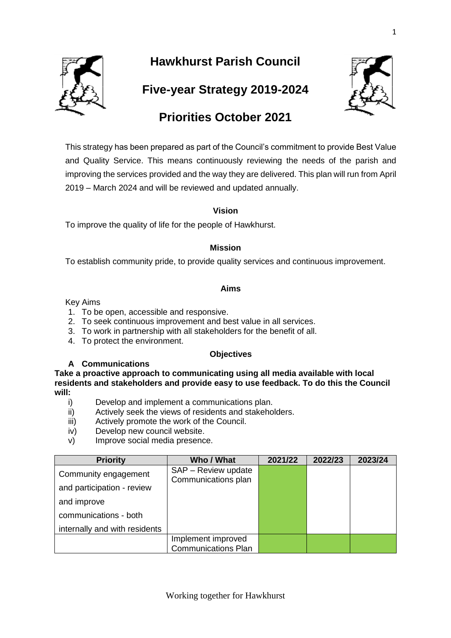

# **Hawkhurst Parish Council**

**Five-year Strategy 2019-2024**



# **Priorities October 2021**

This strategy has been prepared as part of the Council's commitment to provide Best Value and Quality Service. This means continuously reviewing the needs of the parish and improving the services provided and the way they are delivered. This plan will run from April 2019 – March 2024 and will be reviewed and updated annually.

#### **Vision**

To improve the quality of life for the people of Hawkhurst.

## **Mission**

To establish community pride, to provide quality services and continuous improvement.

## **Aims**

Key Aims

- 1. To be open, accessible and responsive.
- 2. To seek continuous improvement and best value in all services.
- 3. To work in partnership with all stakeholders for the benefit of all.
- 4. To protect the environment.

#### **Objectives**

#### **A Communications**

**Take a proactive approach to communicating using all media available with local residents and stakeholders and provide easy to use feedback. To do this the Council will:**

- i) Develop and implement a communications plan.<br>ii) Actively seek the views of residents and stakeho
- Actively seek the views of residents and stakeholders.
- iii) Actively promote the work of the Council.
- iv) Develop new council website.
- v) Improve social media presence.

| <b>Priority</b>               | Who / What                 | 2021/22 | 2022/23 | 2023/24 |
|-------------------------------|----------------------------|---------|---------|---------|
| Community engagement          | SAP - Review update        |         |         |         |
| and participation - review    | Communications plan        |         |         |         |
| and improve                   |                            |         |         |         |
| communications - both         |                            |         |         |         |
| internally and with residents |                            |         |         |         |
|                               | Implement improved         |         |         |         |
|                               | <b>Communications Plan</b> |         |         |         |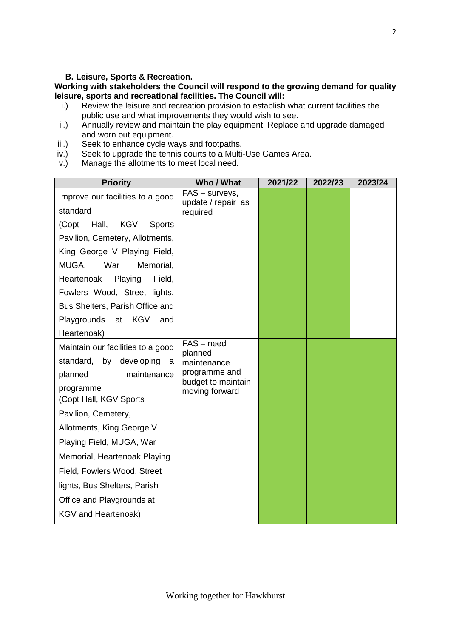#### **B. Leisure, Sports & Recreation.**

# **Working with stakeholders the Council will respond to the growing demand for quality leisure, sports and recreational facilities. The Council will:**

- i.) Review the leisure and recreation provision to establish what current facilities the public use and what improvements they would wish to see.
- ii.) Annually review and maintain the play equipment. Replace and upgrade damaged and worn out equipment.
- iii.) Seek to enhance cycle ways and footpaths.
- iv.) Seek to upgrade the tennis courts to a Multi-Use Games Area.
- v.) Manage the allotments to meet local need.

| <b>Priority</b>                        | Who / What                           | 2021/22 | 2022/23 | 2023/24 |
|----------------------------------------|--------------------------------------|---------|---------|---------|
| Improve our facilities to a good       | FAS – surveys,<br>update / repair as |         |         |         |
| standard                               | required                             |         |         |         |
| (Copt<br>Hall,<br>KGV<br><b>Sports</b> |                                      |         |         |         |
| Pavilion, Cemetery, Allotments,        |                                      |         |         |         |
| King George V Playing Field,           |                                      |         |         |         |
| MUGA,<br>War<br>Memorial,              |                                      |         |         |         |
| Playing<br>Field,<br>Heartenoak        |                                      |         |         |         |
| Fowlers Wood, Street lights,           |                                      |         |         |         |
| Bus Shelters, Parish Office and        |                                      |         |         |         |
| Playgrounds at KGV<br>and              |                                      |         |         |         |
| Heartenoak)                            |                                      |         |         |         |
| Maintain our facilities to a good      | $FAS - need$<br>planned              |         |         |         |
| standard, by developing<br>а           | maintenance                          |         |         |         |
| planned<br>maintenance                 | programme and<br>budget to maintain  |         |         |         |
| programme                              | moving forward                       |         |         |         |
| (Copt Hall, KGV Sports                 |                                      |         |         |         |
| Pavilion, Cemetery,                    |                                      |         |         |         |
| Allotments, King George V              |                                      |         |         |         |
| Playing Field, MUGA, War               |                                      |         |         |         |
| Memorial, Heartenoak Playing           |                                      |         |         |         |
| Field, Fowlers Wood, Street            |                                      |         |         |         |
| lights, Bus Shelters, Parish           |                                      |         |         |         |
| Office and Playgrounds at              |                                      |         |         |         |
| KGV and Heartenoak)                    |                                      |         |         |         |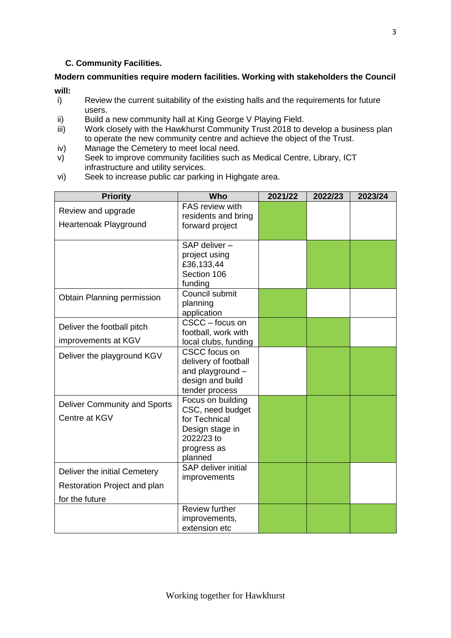## **C. Community Facilities.**

# **Modern communities require modern facilities. Working with stakeholders the Council will:**

- i) Review the current suitability of the existing halls and the requirements for future users.
- ii) Build a new community hall at King George V Playing Field.<br>iii) Work closely with the Hawkhurst Community Trust 2018 to c
- Work closely with the Hawkhurst Community Trust 2018 to develop a business plan to operate the new community centre and achieve the object of the Trust.
- iv) Manage the Cemetery to meet local need.
- v) Seek to improve community facilities such as Medical Centre, Library, ICT infrastructure and utility services.
- vi) Seek to increase public car parking in Highgate area.

| <b>Priority</b>                     | <b>Who</b>                               | 2021/22 | 2022/23 | 2023/24 |
|-------------------------------------|------------------------------------------|---------|---------|---------|
| Review and upgrade                  | FAS review with                          |         |         |         |
|                                     | residents and bring                      |         |         |         |
| Heartenoak Playground               | forward project                          |         |         |         |
|                                     | SAP deliver-                             |         |         |         |
|                                     | project using                            |         |         |         |
|                                     | £36,133,44                               |         |         |         |
|                                     | Section 106                              |         |         |         |
|                                     | funding                                  |         |         |         |
| Obtain Planning permission          | Council submit                           |         |         |         |
|                                     | planning                                 |         |         |         |
|                                     | application                              |         |         |         |
| Deliver the football pitch          | CSCC - focus on                          |         |         |         |
|                                     | football, work with                      |         |         |         |
| improvements at KGV                 | local clubs, funding                     |         |         |         |
| Deliver the playground KGV          | <b>CSCC</b> focus on                     |         |         |         |
|                                     | delivery of football<br>and playground - |         |         |         |
|                                     | design and build                         |         |         |         |
|                                     | tender process                           |         |         |         |
|                                     | Focus on building                        |         |         |         |
| <b>Deliver Community and Sports</b> | CSC, need budget                         |         |         |         |
| Centre at KGV                       | for Technical                            |         |         |         |
|                                     | Design stage in                          |         |         |         |
|                                     | 2022/23 to                               |         |         |         |
|                                     | progress as                              |         |         |         |
|                                     | planned                                  |         |         |         |
| Deliver the initial Cemetery        | SAP deliver initial                      |         |         |         |
| Restoration Project and plan        | improvements                             |         |         |         |
|                                     |                                          |         |         |         |
| for the future                      |                                          |         |         |         |
|                                     | <b>Review further</b>                    |         |         |         |
|                                     | improvements,<br>extension etc           |         |         |         |
|                                     |                                          |         |         |         |